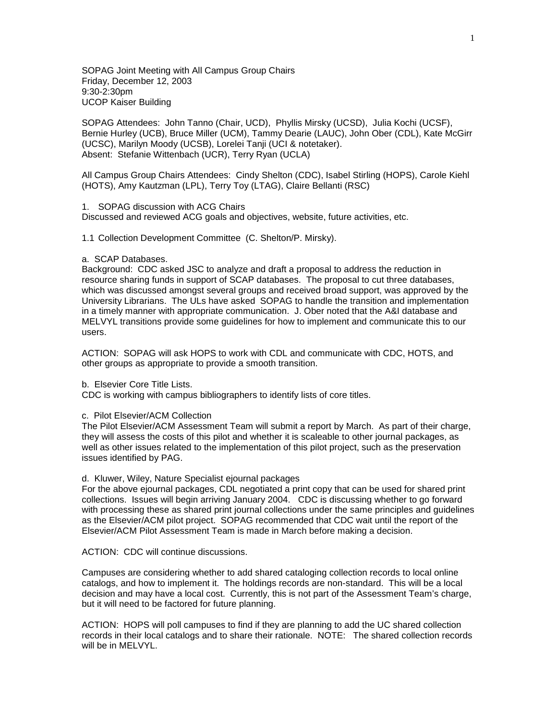SOPAG Joint Meeting with All Campus Group Chairs Friday, December 12, 2003 9:30-2:30pm UCOP Kaiser Building

SOPAG Attendees: John Tanno (Chair, UCD), Phyllis Mirsky (UCSD), Julia Kochi (UCSF), Bernie Hurley (UCB), Bruce Miller (UCM), Tammy Dearie (LAUC), John Ober (CDL), Kate McGirr (UCSC), Marilyn Moody (UCSB), Lorelei Tanji (UCI & notetaker). Absent: Stefanie Wittenbach (UCR), Terry Ryan (UCLA)

All Campus Group Chairs Attendees: Cindy Shelton (CDC), Isabel Stirling (HOPS), Carole Kiehl (HOTS), Amy Kautzman (LPL), Terry Toy (LTAG), Claire Bellanti (RSC)

## 1. SOPAG discussion with ACG Chairs

Discussed and reviewed ACG goals and objectives, website, future activities, etc.

1.1 Collection Development Committee (C. Shelton/P. Mirsky).

## a. SCAP Databases.

Background: CDC asked JSC to analyze and draft a proposal to address the reduction in resource sharing funds in support of SCAP databases. The proposal to cut three databases, which was discussed amongst several groups and received broad support, was approved by the University Librarians. The ULs have asked SOPAG to handle the transition and implementation in a timely manner with appropriate communication. J. Ober noted that the A&I database and MELVYL transitions provide some guidelines for how to implement and communicate this to our users.

ACTION: SOPAG will ask HOPS to work with CDL and communicate with CDC, HOTS, and other groups as appropriate to provide a smooth transition.

## b. Elsevier Core Title Lists.

CDC is working with campus bibliographers to identify lists of core titles.

### c. Pilot Elsevier/ACM Collection

The Pilot Elsevier/ACM Assessment Team will submit a report by March. As part of their charge, they will assess the costs of this pilot and whether it is scaleable to other journal packages, as well as other issues related to the implementation of this pilot project, such as the preservation issues identified by PAG.

# d. Kluwer, Wiley, Nature Specialist ejournal packages

For the above ejournal packages, CDL negotiated a print copy that can be used for shared print collections. Issues will begin arriving January 2004. CDC is discussing whether to go forward with processing these as shared print journal collections under the same principles and guidelines as the Elsevier/ACM pilot project. SOPAG recommended that CDC wait until the report of the Elsevier/ACM Pilot Assessment Team is made in March before making a decision.

ACTION: CDC will continue discussions.

Campuses are considering whether to add shared cataloging collection records to local online catalogs, and how to implement it. The holdings records are non-standard. This will be a local decision and may have a local cost. Currently, this is not part of the Assessment Team's charge, but it will need to be factored for future planning.

ACTION: HOPS will poll campuses to find if they are planning to add the UC shared collection records in their local catalogs and to share their rationale. NOTE: The shared collection records will be in MELVYL.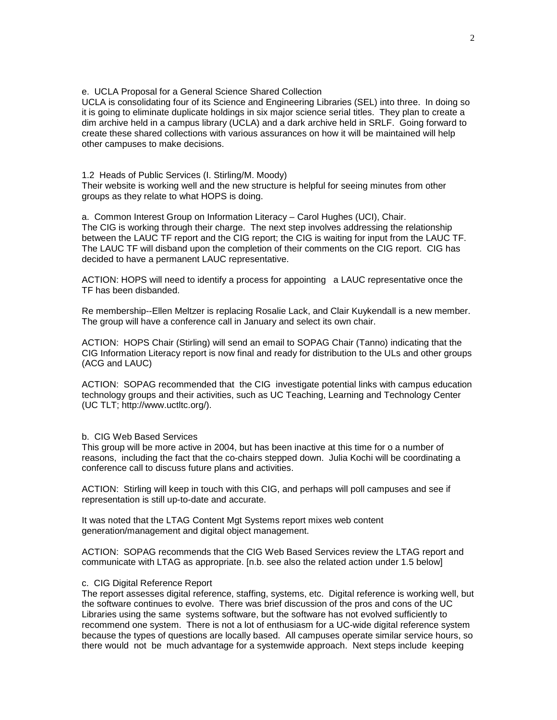## e. UCLA Proposal for a General Science Shared Collection

UCLA is consolidating four of its Science and Engineering Libraries (SEL) into three. In doing so it is going to eliminate duplicate holdings in six major science serial titles. They plan to create a dim archive held in a campus library (UCLA) and a dark archive held in SRLF. Going forward to create these shared collections with various assurances on how it will be maintained will help other campuses to make decisions.

## 1.2 Heads of Public Services (I. Stirling/M. Moody)

Their website is working well and the new structure is helpful for seeing minutes from other groups as they relate to what HOPS is doing.

a. Common Interest Group on Information Literacy – Carol Hughes (UCI), Chair. The CIG is working through their charge. The next step involves addressing the relationship between the LAUC TF report and the CIG report; the CIG is waiting for input from the LAUC TF. The LAUC TF will disband upon the completion of their comments on the CIG report. CIG has decided to have a permanent LAUC representative.

ACTION: HOPS will need to identify a process for appointing a LAUC representative once the TF has been disbanded.

Re membership--Ellen Meltzer is replacing Rosalie Lack, and Clair Kuykendall is a new member. The group will have a conference call in January and select its own chair.

ACTION: HOPS Chair (Stirling) will send an email to SOPAG Chair (Tanno) indicating that the CIG Information Literacy report is now final and ready for distribution to the ULs and other groups (ACG and LAUC)

ACTION: SOPAG recommended that the CIG investigate potential links with campus education technology groups and their activities, such as UC Teaching, Learning and Technology Center (UC TLT; http://www.uctltc.org/).

## b. CIG Web Based Services

This group will be more active in 2004, but has been inactive at this time for o a number of reasons, including the fact that the co-chairs stepped down. Julia Kochi will be coordinating a conference call to discuss future plans and activities.

ACTION: Stirling will keep in touch with this CIG, and perhaps will poll campuses and see if representation is still up-to-date and accurate.

It was noted that the LTAG Content Mgt Systems report mixes web content generation/management and digital object management.

ACTION: SOPAG recommends that the CIG Web Based Services review the LTAG report and communicate with LTAG as appropriate. [n.b. see also the related action under 1.5 below]

#### c. CIG Digital Reference Report

The report assesses digital reference, staffing, systems, etc. Digital reference is working well, but the software continues to evolve. There was brief discussion of the pros and cons of the UC Libraries using the same systems software, but the software has not evolved sufficiently to recommend one system. There is not a lot of enthusiasm for a UC-wide digital reference system because the types of questions are locally based. All campuses operate similar service hours, so there would not be much advantage for a systemwide approach. Next steps include keeping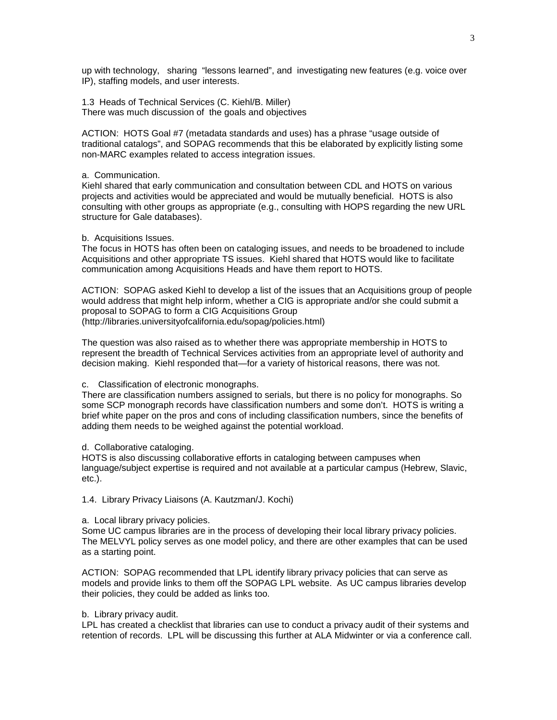up with technology, sharing "lessons learned", and investigating new features (e.g. voice over IP), staffing models, and user interests.

1.3 Heads of Technical Services (C. Kiehl/B. Miller) There was much discussion of the goals and objectives

ACTION: HOTS Goal #7 (metadata standards and uses) has a phrase "usage outside of traditional catalogs", and SOPAG recommends that this be elaborated by explicitly listing some non-MARC examples related to access integration issues.

### a. Communication.

Kiehl shared that early communication and consultation between CDL and HOTS on various projects and activities would be appreciated and would be mutually beneficial. HOTS is also consulting with other groups as appropriate (e.g., consulting with HOPS regarding the new URL structure for Gale databases).

### b. Acquisitions Issues.

The focus in HOTS has often been on cataloging issues, and needs to be broadened to include Acquisitions and other appropriate TS issues. Kiehl shared that HOTS would like to facilitate communication among Acquisitions Heads and have them report to HOTS.

ACTION: SOPAG asked Kiehl to develop a list of the issues that an Acquisitions group of people would address that might help inform, whether a CIG is appropriate and/or she could submit a proposal to SOPAG to form a CIG Acquisitions Group (http://libraries.universityofcalifornia.edu/sopag/policies.html)

The question was also raised as to whether there was appropriate membership in HOTS to represent the breadth of Technical Services activities from an appropriate level of authority and decision making. Kiehl responded that—for a variety of historical reasons, there was not.

c. Classification of electronic monographs.

There are classification numbers assigned to serials, but there is no policy for monographs. So some SCP monograph records have classification numbers and some don't. HOTS is writing a brief white paper on the pros and cons of including classification numbers, since the benefits of adding them needs to be weighed against the potential workload.

## d. Collaborative cataloging.

HOTS is also discussing collaborative efforts in cataloging between campuses when language/subject expertise is required and not available at a particular campus (Hebrew, Slavic, etc.).

1.4. Library Privacy Liaisons (A. Kautzman/J. Kochi)

#### a. Local library privacy policies.

Some UC campus libraries are in the process of developing their local library privacy policies. The MELVYL policy serves as one model policy, and there are other examples that can be used as a starting point.

ACTION: SOPAG recommended that LPL identify library privacy policies that can serve as models and provide links to them off the SOPAG LPL website. As UC campus libraries develop their policies, they could be added as links too.

## b. Library privacy audit.

LPL has created a checklist that libraries can use to conduct a privacy audit of their systems and retention of records. LPL will be discussing this further at ALA Midwinter or via a conference call.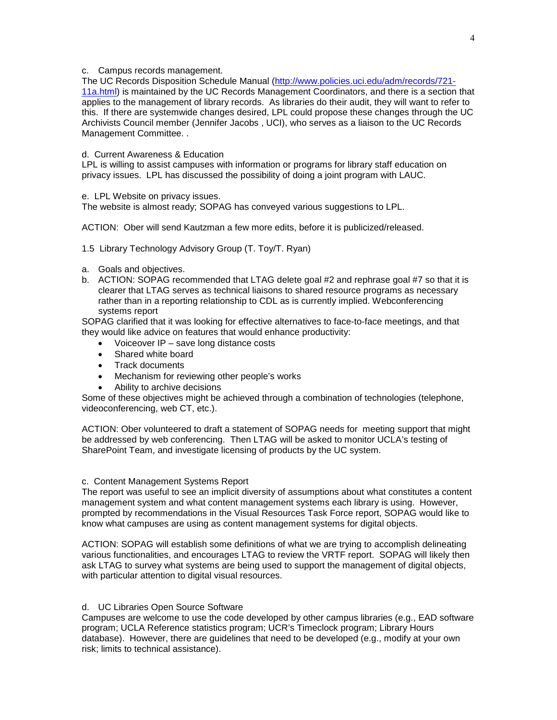## c. Campus records management.

The UC Records Disposition Schedule Manual [\(http://www.policies.uci.edu/adm/records/721-](http://www.policies.uci.edu/adm/records/721-11a.html) [11a.html\)](http://www.policies.uci.edu/adm/records/721-11a.html) is maintained by the UC Records Management Coordinators, and there is a section that applies to the management of library records. As libraries do their audit, they will want to refer to this. If there are systemwide changes desired, LPL could propose these changes through the UC Archivists Council member (Jennifer Jacobs , UCI), who serves as a liaison to the UC Records Management Committee. .

## d. Current Awareness & Education

LPL is willing to assist campuses with information or programs for library staff education on privacy issues. LPL has discussed the possibility of doing a joint program with LAUC.

e. LPL Website on privacy issues.

The website is almost ready; SOPAG has conveyed various suggestions to LPL.

ACTION: Ober will send Kautzman a few more edits, before it is publicized/released.

1.5 Library Technology Advisory Group (T. Toy/T. Ryan)

- a. Goals and objectives.
- b. ACTION: SOPAG recommended that LTAG delete goal #2 and rephrase goal #7 so that it is clearer that LTAG serves as technical liaisons to shared resource programs as necessary rather than in a reporting relationship to CDL as is currently implied. Webconferencing systems report

SOPAG clarified that it was looking for effective alternatives to face-to-face meetings, and that they would like advice on features that would enhance productivity:

- Voiceover IP save long distance costs
- Shared white board
- Track documents
- Mechanism for reviewing other people's works
	- Ability to archive decisions

Some of these objectives might be achieved through a combination of technologies (telephone, videoconferencing, web CT, etc.).

ACTION: Ober volunteered to draft a statement of SOPAG needs for meeting support that might be addressed by web conferencing. Then LTAG will be asked to monitor UCLA's testing of SharePoint Team, and investigate licensing of products by the UC system.

## c. Content Management Systems Report

The report was useful to see an implicit diversity of assumptions about what constitutes a content management system and what content management systems each library is using. However, prompted by recommendations in the Visual Resources Task Force report, SOPAG would like to know what campuses are using as content management systems for digital objects.

ACTION: SOPAG will establish some definitions of what we are trying to accomplish delineating various functionalities, and encourages LTAG to review the VRTF report. SOPAG will likely then ask LTAG to survey what systems are being used to support the management of digital objects, with particular attention to digital visual resources.

## d. UC Libraries Open Source Software

Campuses are welcome to use the code developed by other campus libraries (e.g., EAD software program; UCLA Reference statistics program; UCR's Timeclock program; Library Hours database). However, there are guidelines that need to be developed (e.g., modify at your own risk; limits to technical assistance).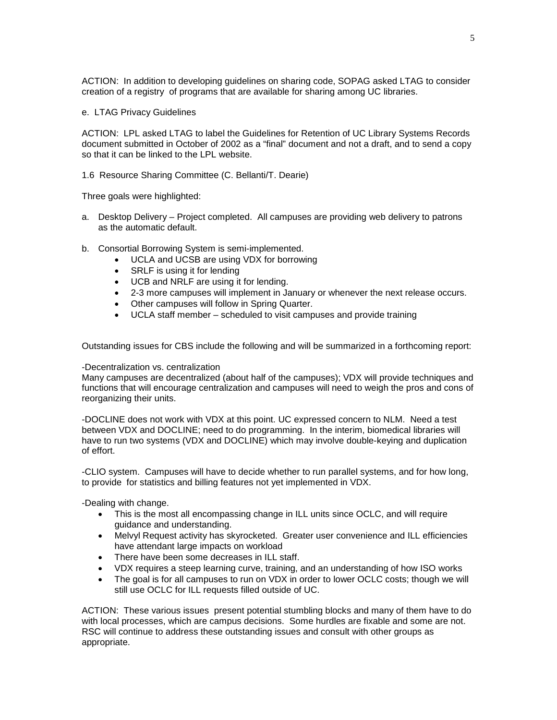ACTION: In addition to developing guidelines on sharing code, SOPAG asked LTAG to consider creation of a registry of programs that are available for sharing among UC libraries.

e. LTAG Privacy Guidelines

ACTION: LPL asked LTAG to label the Guidelines for Retention of UC Library Systems Records document submitted in October of 2002 as a "final" document and not a draft, and to send a copy so that it can be linked to the LPL website.

1.6 Resource Sharing Committee (C. Bellanti/T. Dearie)

Three goals were highlighted:

- a. Desktop Delivery Project completed. All campuses are providing web delivery to patrons as the automatic default.
- b. Consortial Borrowing System is semi-implemented.
	- UCLA and UCSB are using VDX for borrowing
	- SRLF is using it for lending
	- UCB and NRLF are using it for lending.
	- 2-3 more campuses will implement in January or whenever the next release occurs.
	- Other campuses will follow in Spring Quarter.
	- UCLA staff member scheduled to visit campuses and provide training

Outstanding issues for CBS include the following and will be summarized in a forthcoming report:

## -Decentralization vs. centralization

Many campuses are decentralized (about half of the campuses); VDX will provide techniques and functions that will encourage centralization and campuses will need to weigh the pros and cons of reorganizing their units.

-DOCLINE does not work with VDX at this point. UC expressed concern to NLM. Need a test between VDX and DOCLINE; need to do programming. In the interim, biomedical libraries will have to run two systems (VDX and DOCLINE) which may involve double-keying and duplication of effort.

-CLIO system. Campuses will have to decide whether to run parallel systems, and for how long, to provide for statistics and billing features not yet implemented in VDX.

-Dealing with change.

- This is the most all encompassing change in ILL units since OCLC, and will require guidance and understanding.
- Melvyl Request activity has skyrocketed. Greater user convenience and ILL efficiencies have attendant large impacts on workload
- There have been some decreases in ILL staff.
- VDX requires a steep learning curve, training, and an understanding of how ISO works
- The goal is for all campuses to run on VDX in order to lower OCLC costs; though we will still use OCLC for ILL requests filled outside of UC.

ACTION: These various issues present potential stumbling blocks and many of them have to do with local processes, which are campus decisions. Some hurdles are fixable and some are not. RSC will continue to address these outstanding issues and consult with other groups as appropriate.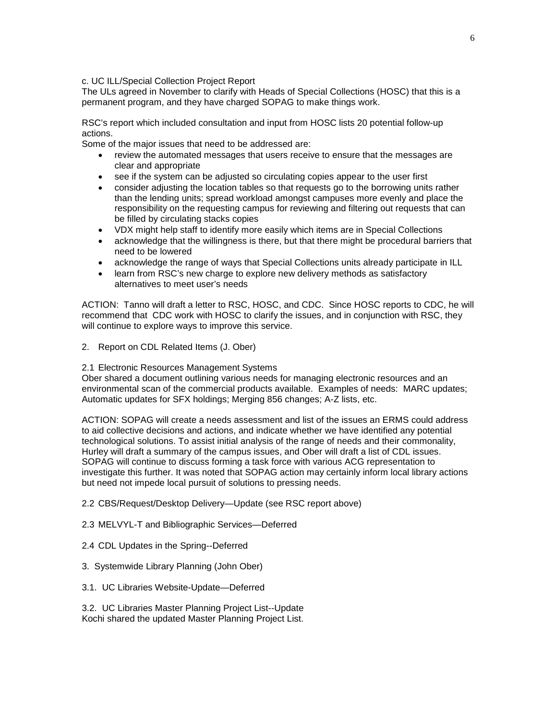c. UC ILL/Special Collection Project Report

The ULs agreed in November to clarify with Heads of Special Collections (HOSC) that this is a permanent program, and they have charged SOPAG to make things work.

RSC's report which included consultation and input from HOSC lists 20 potential follow-up actions.

Some of the major issues that need to be addressed are:

- review the automated messages that users receive to ensure that the messages are clear and appropriate
- see if the system can be adjusted so circulating copies appear to the user first
- consider adjusting the location tables so that requests go to the borrowing units rather than the lending units; spread workload amongst campuses more evenly and place the responsibility on the requesting campus for reviewing and filtering out requests that can be filled by circulating stacks copies
- VDX might help staff to identify more easily which items are in Special Collections
- acknowledge that the willingness is there, but that there might be procedural barriers that need to be lowered
- acknowledge the range of ways that Special Collections units already participate in ILL
- learn from RSC's new charge to explore new delivery methods as satisfactory alternatives to meet user's needs

ACTION: Tanno will draft a letter to RSC, HOSC, and CDC. Since HOSC reports to CDC, he will recommend that CDC work with HOSC to clarify the issues, and in conjunction with RSC, they will continue to explore ways to improve this service.

- 2. Report on CDL Related Items (J. Ober)
- 2.1 Electronic Resources Management Systems

Ober shared a document outlining various needs for managing electronic resources and an environmental scan of the commercial products available. Examples of needs: MARC updates; Automatic updates for SFX holdings; Merging 856 changes; A-Z lists, etc.

ACTION: SOPAG will create a needs assessment and list of the issues an ERMS could address to aid collective decisions and actions, and indicate whether we have identified any potential technological solutions. To assist initial analysis of the range of needs and their commonality, Hurley will draft a summary of the campus issues, and Ober will draft a list of CDL issues. SOPAG will continue to discuss forming a task force with various ACG representation to investigate this further. It was noted that SOPAG action may certainly inform local library actions but need not impede local pursuit of solutions to pressing needs.

2.2 CBS/Request/Desktop Delivery—Update (see RSC report above)

- 2.3 MELVYL-T and Bibliographic Services—Deferred
- 2.4 CDL Updates in the Spring--Deferred
- 3. Systemwide Library Planning (John Ober)
- 3.1. UC Libraries Website-Update—Deferred

3.2. UC Libraries Master Planning Project List--Update Kochi shared the updated Master Planning Project List.